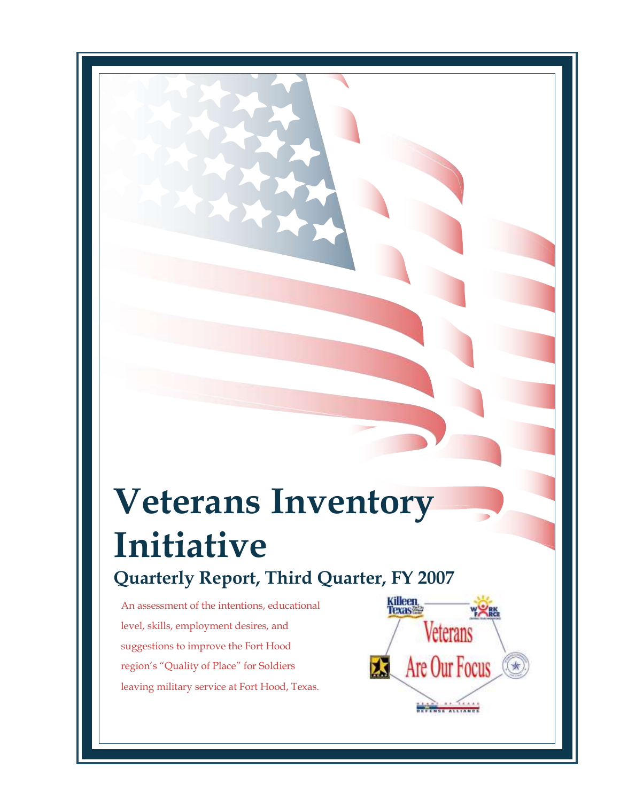# **Veterans Inventory Initiative Quarterly Report, Third Quarter, FY 2007**

An assessment of the intentions, educational level, skills, employment desires, and suggestions to improve the Fort Hood region's "Quality of Place" for Soldiers leaving military service at Fort Hood, Texas.

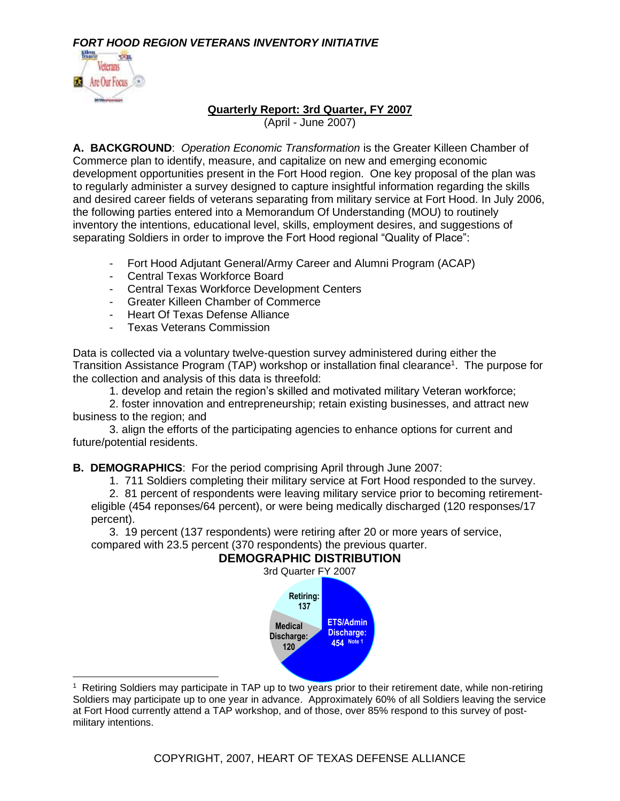

#### **Quarterly Report: 3rd Quarter, FY 2007**

(April - June 2007)

**A. BACKGROUND**: *Operation Economic Transformation* is the Greater Killeen Chamber of Commerce plan to identify, measure, and capitalize on new and emerging economic development opportunities present in the Fort Hood region. One key proposal of the plan was to regularly administer a survey designed to capture insightful information regarding the skills and desired career fields of veterans separating from military service at Fort Hood. In July 2006, the following parties entered into a Memorandum Of Understanding (MOU) to routinely inventory the intentions, educational level, skills, employment desires, and suggestions of separating Soldiers in order to improve the Fort Hood regional "Quality of Place":

- Fort Hood Adjutant General/Army Career and Alumni Program (ACAP)
- Central Texas Workforce Board
- Central Texas Workforce Development Centers
- Greater Killeen Chamber of Commerce
- Heart Of Texas Defense Alliance
- Texas Veterans Commission

Data is collected via a voluntary twelve-question survey administered during either the Transition Assistance Program (TAP) workshop or installation final clearance<sup>1</sup>. The purpose for the collection and analysis of this data is threefold:

1. develop and retain the region's skilled and motivated military Veteran workforce;

2. foster innovation and entrepreneurship; retain existing businesses, and attract new business to the region; and

3. align the efforts of the participating agencies to enhance options for current and future/potential residents.

**B. DEMOGRAPHICS**: For the period comprising April through June 2007:

1. 711 Soldiers completing their military service at Fort Hood responded to the survey.

2. 81 percent of respondents were leaving military service prior to becoming retirementeligible (454 reponses/64 percent), or were being medically discharged (120 responses/17 percent).

3. 19 percent (137 respondents) were retiring after 20 or more years of service, compared with 23.5 percent (370 respondents) the previous quarter.

# **DEMOGRAPHIC DISTRIBUTION**



1 Retiring Soldiers may participate in TAP up to two years prior to their retirement date, while non-retiring Soldiers may participate up to one year in advance. Approximately 60% of all Soldiers leaving the service at Fort Hood currently attend a TAP workshop, and of those, over 85% respond to this survey of postmilitary intentions.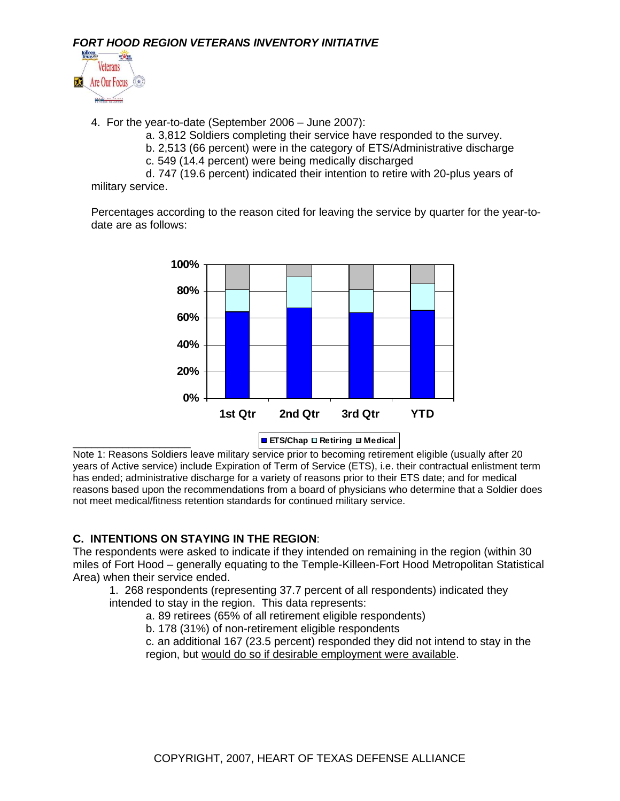

- 4. For the year-to-date (September 2006 June 2007):
	- a. 3,812 Soldiers completing their service have responded to the survey.
	- b. 2,513 (66 percent) were in the category of ETS/Administrative discharge
	- c. 549 (14.4 percent) were being medically discharged

d. 747 (19.6 percent) indicated their intention to retire with 20-plus years of military service.

Percentages according to the reason cited for leaving the service by quarter for the year-todate are as follows:



Note 1: Reasons Soldiers leave military service prior to becoming retirement eligible (usually after 20 years of Active service) include Expiration of Term of Service (ETS), i.e. their contractual enlistment term has ended; administrative discharge for a variety of reasons prior to their ETS date; and for medical reasons based upon the recommendations from a board of physicians who determine that a Soldier does not meet medical/fitness retention standards for continued military service.

# **C. INTENTIONS ON STAYING IN THE REGION**:

The respondents were asked to indicate if they intended on remaining in the region (within 30 miles of Fort Hood – generally equating to the Temple-Killeen-Fort Hood Metropolitan Statistical Area) when their service ended.

1. 268 respondents (representing 37.7 percent of all respondents) indicated they intended to stay in the region. This data represents:

- a. 89 retirees (65% of all retirement eligible respondents)
- b. 178 (31%) of non-retirement eligible respondents

c. an additional 167 (23.5 percent) responded they did not intend to stay in the region, but would do so if desirable employment were available.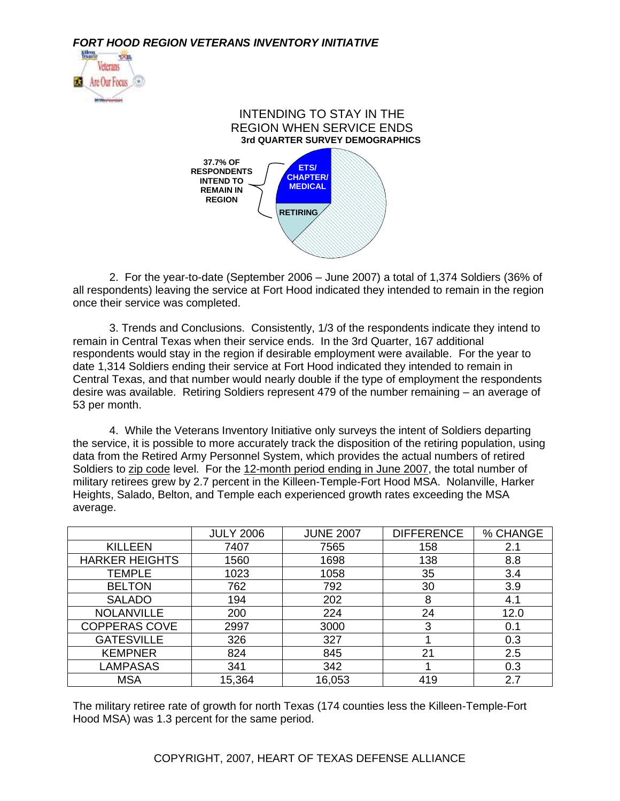



2. For the year-to-date (September 2006 – June 2007) a total of 1,374 Soldiers (36% of all respondents) leaving the service at Fort Hood indicated they intended to remain in the region once their service was completed.

3. Trends and Conclusions. Consistently, 1/3 of the respondents indicate they intend to remain in Central Texas when their service ends. In the 3rd Quarter, 167 additional respondents would stay in the region if desirable employment were available. For the year to date 1,314 Soldiers ending their service at Fort Hood indicated they intended to remain in Central Texas, and that number would nearly double if the type of employment the respondents desire was available. Retiring Soldiers represent 479 of the number remaining – an average of 53 per month.

4. While the Veterans Inventory Initiative only surveys the intent of Soldiers departing the service, it is possible to more accurately track the disposition of the retiring population, using data from the Retired Army Personnel System, which provides the actual numbers of retired Soldiers to zip code level. For the 12-month period ending in June 2007, the total number of military retirees grew by 2.7 percent in the Killeen-Temple-Fort Hood MSA. Nolanville, Harker Heights, Salado, Belton, and Temple each experienced growth rates exceeding the MSA average.

|                       | <b>JULY 2006</b> | <b>JUNE 2007</b> | <b>DIFFERENCE</b> | % CHANGE |
|-----------------------|------------------|------------------|-------------------|----------|
| <b>KILLEEN</b>        | 7407             | 7565             | 158               | 2.1      |
| <b>HARKER HEIGHTS</b> | 1560             | 1698             | 138               | 8.8      |
| <b>TEMPLE</b>         | 1023             | 1058             | 35                | 3.4      |
| <b>BELTON</b>         | 762              | 792              | 30                | 3.9      |
| <b>SALADO</b>         | 194              | 202              | 8                 | 4.1      |
| <b>NOLANVILLE</b>     | 200              | 224              | 24                | 12.0     |
| <b>COPPERAS COVE</b>  | 2997             | 3000             | 3                 | 0.1      |
| <b>GATESVILLE</b>     | 326              | 327              |                   | 0.3      |
| <b>KEMPNER</b>        | 824              | 845              | 21                | 2.5      |
| <b>LAMPASAS</b>       | 341              | 342              |                   | 0.3      |
| <b>MSA</b>            | 15,364           | 16,053           | 419               | 2.7      |

The military retiree rate of growth for north Texas (174 counties less the Killeen-Temple-Fort Hood MSA) was 1.3 percent for the same period.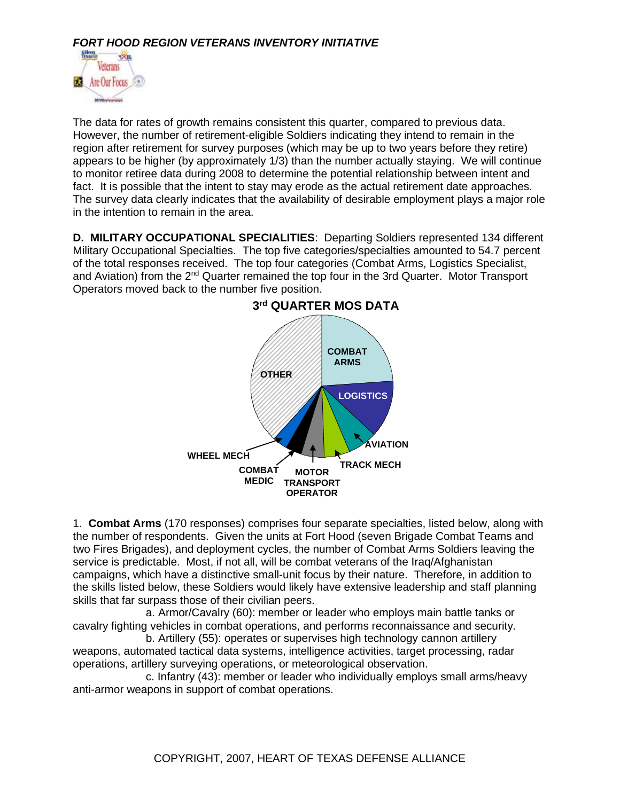

The data for rates of growth remains consistent this quarter, compared to previous data. However, the number of retirement-eligible Soldiers indicating they intend to remain in the region after retirement for survey purposes (which may be up to two years before they retire) appears to be higher (by approximately 1/3) than the number actually staying. We will continue to monitor retiree data during 2008 to determine the potential relationship between intent and fact. It is possible that the intent to stay may erode as the actual retirement date approaches. The survey data clearly indicates that the availability of desirable employment plays a major role in the intention to remain in the area.

**D. MILITARY OCCUPATIONAL SPECIALITIES**: Departing Soldiers represented 134 different Military Occupational Specialties. The top five categories/specialties amounted to 54.7 percent of the total responses received. The top four categories (Combat Arms, Logistics Specialist, and Aviation) from the  $2^{nd}$  Quarter remained the top four in the 3rd Quarter. Motor Transport Operators moved back to the number five position.



1. **Combat Arms** (170 responses) comprises four separate specialties, listed below, along with the number of respondents. Given the units at Fort Hood (seven Brigade Combat Teams and two Fires Brigades), and deployment cycles, the number of Combat Arms Soldiers leaving the service is predictable. Most, if not all, will be combat veterans of the Iraq/Afghanistan campaigns, which have a distinctive small-unit focus by their nature. Therefore, in addition to the skills listed below, these Soldiers would likely have extensive leadership and staff planning skills that far surpass those of their civilian peers.

a. Armor/Cavalry (60): member or leader who employs main battle tanks or cavalry fighting vehicles in combat operations, and performs reconnaissance and security.

b. Artillery (55): operates or supervises high technology cannon artillery weapons, automated tactical data systems, intelligence activities, target processing, radar operations, artillery surveying operations, or meteorological observation.

c. Infantry (43): member or leader who individually employs small arms/heavy anti-armor weapons in support of combat operations.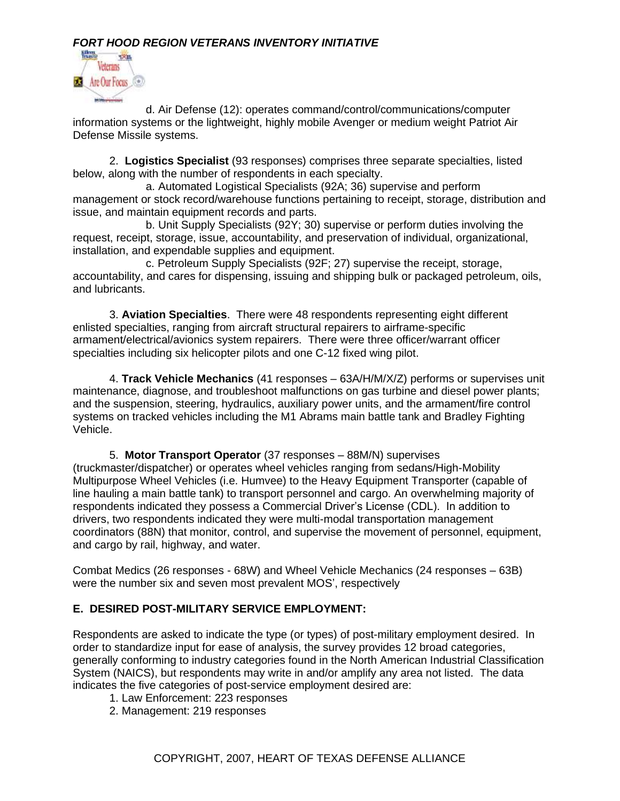

d. Air Defense (12): operates command/control/communications/computer information systems or the lightweight, highly mobile Avenger or medium weight Patriot Air Defense Missile systems.

2. **Logistics Specialist** (93 responses) comprises three separate specialties, listed below, along with the number of respondents in each specialty.

a. Automated Logistical Specialists (92A; 36) supervise and perform management or stock record/warehouse functions pertaining to receipt, storage, distribution and issue, and maintain equipment records and parts.

b. Unit Supply Specialists (92Y; 30) supervise or perform duties involving the request, receipt, storage, issue, accountability, and preservation of individual, organizational, installation, and expendable supplies and equipment.

c. Petroleum Supply Specialists (92F; 27) supervise the receipt, storage, accountability, and cares for dispensing, issuing and shipping bulk or packaged petroleum, oils, and lubricants.

3. **Aviation Specialties**. There were 48 respondents representing eight different enlisted specialties, ranging from aircraft structural repairers to airframe-specific armament/electrical/avionics system repairers. There were three officer/warrant officer specialties including six helicopter pilots and one C-12 fixed wing pilot.

4. **Track Vehicle Mechanics** (41 responses – 63A/H/M/X/Z) performs or supervises unit maintenance, diagnose, and troubleshoot malfunctions on gas turbine and diesel power plants; and the suspension, steering, hydraulics, auxiliary power units, and the armament/fire control systems on tracked vehicles including the M1 Abrams main battle tank and Bradley Fighting Vehicle.

5. **Motor Transport Operator** (37 responses – 88M/N) supervises (truckmaster/dispatcher) or operates wheel vehicles ranging from sedans/High-Mobility Multipurpose Wheel Vehicles (i.e. Humvee) to the Heavy Equipment Transporter (capable of line hauling a main battle tank) to transport personnel and cargo. An overwhelming majority of respondents indicated they possess a Commercial Driver's License (CDL). In addition to drivers, two respondents indicated they were multi-modal transportation management coordinators (88N) that monitor, control, and supervise the movement of personnel, equipment, and cargo by rail, highway, and water.

Combat Medics (26 responses - 68W) and Wheel Vehicle Mechanics (24 responses – 63B) were the number six and seven most prevalent MOS', respectively

# **E. DESIRED POST-MILITARY SERVICE EMPLOYMENT:**

Respondents are asked to indicate the type (or types) of post-military employment desired. In order to standardize input for ease of analysis, the survey provides 12 broad categories, generally conforming to industry categories found in the North American Industrial Classification System (NAICS), but respondents may write in and/or amplify any area not listed. The data indicates the five categories of post-service employment desired are:

- 1. Law Enforcement: 223 responses
- 2. Management: 219 responses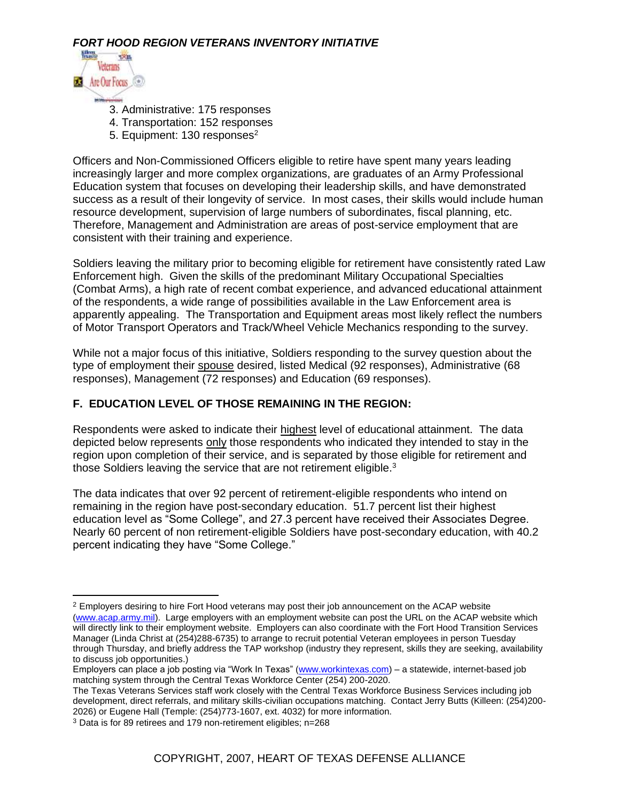

- 3. Administrative: 175 responses
- 4. Transportation: 152 responses
- 5. Equipment:  $130$  responses<sup>2</sup>

Officers and Non-Commissioned Officers eligible to retire have spent many years leading increasingly larger and more complex organizations, are graduates of an Army Professional Education system that focuses on developing their leadership skills, and have demonstrated success as a result of their longevity of service. In most cases, their skills would include human resource development, supervision of large numbers of subordinates, fiscal planning, etc. Therefore, Management and Administration are areas of post-service employment that are consistent with their training and experience.

Soldiers leaving the military prior to becoming eligible for retirement have consistently rated Law Enforcement high. Given the skills of the predominant Military Occupational Specialties (Combat Arms), a high rate of recent combat experience, and advanced educational attainment of the respondents, a wide range of possibilities available in the Law Enforcement area is apparently appealing. The Transportation and Equipment areas most likely reflect the numbers of Motor Transport Operators and Track/Wheel Vehicle Mechanics responding to the survey.

While not a major focus of this initiative, Soldiers responding to the survey question about the type of employment their spouse desired, listed Medical (92 responses), Administrative (68 responses), Management (72 responses) and Education (69 responses).

#### **F. EDUCATION LEVEL OF THOSE REMAINING IN THE REGION:**

Respondents were asked to indicate their highest level of educational attainment. The data depicted below represents only those respondents who indicated they intended to stay in the region upon completion of their service, and is separated by those eligible for retirement and those Soldiers leaving the service that are not retirement eligible.<sup>3</sup>

The data indicates that over 92 percent of retirement-eligible respondents who intend on remaining in the region have post-secondary education. 51.7 percent list their highest education level as "Some College", and 27.3 percent have received their Associates Degree. Nearly 60 percent of non retirement-eligible Soldiers have post-secondary education, with 40.2 percent indicating they have "Some College."

<sup>&</sup>lt;sup>2</sup> Employers desiring to hire Fort Hood veterans may post their job announcement on the ACAP website [\(www.acap.army.mil\)](http://www.acap.army.mil/). Large employers with an employment website can post the URL on the ACAP website which will directly link to their employment website. Employers can also coordinate with the Fort Hood Transition Services Manager (Linda Christ at (254)288-6735) to arrange to recruit potential Veteran employees in person Tuesday through Thursday, and briefly address the TAP workshop (industry they represent, skills they are seeking, availability to discuss job opportunities.)

Employers can place a job posting via "Work In Texas" [\(www.workintexas.com\)](http://www.workintexas.com/) – a statewide, internet-based job matching system through the Central Texas Workforce Center (254) 200-2020.

The Texas Veterans Services staff work closely with the Central Texas Workforce Business Services including job development, direct referrals, and military skills-civilian occupations matching. Contact Jerry Butts (Killeen: (254)200- 2026) or Eugene Hall (Temple: (254)773-1607, ext. 4032) for more information.

<sup>3</sup> Data is for 89 retirees and 179 non-retirement eligibles; n=268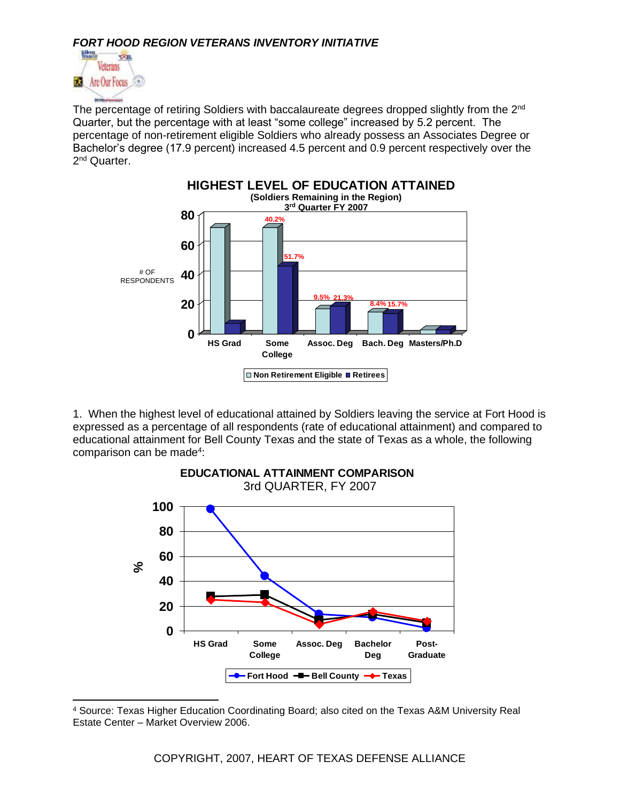

The percentage of retiring Soldiers with baccalaureate degrees dropped slightly from the 2<sup>nd</sup> Quarter, but the percentage with at least "some college" increased by 5.2 percent. The percentage of non-retirement eligible Soldiers who already possess an Associates Degree or Bachelor's degree (17.9 percent) increased 4.5 percent and 0.9 percent respectively over the 2<sup>nd</sup> Quarter.



1. When the highest level of educational attained by Soldiers leaving the service at Fort Hood is expressed as a percentage of all respondents (rate of educational attainment) and compared to educational attainment for Bell County Texas and the state of Texas as a whole, the following comparison can be made<sup>4</sup>:



<sup>4</sup> Source: Texas Higher Education Coordinating Board; also cited on the Texas A&M University Real Estate Center – Market Overview 2006.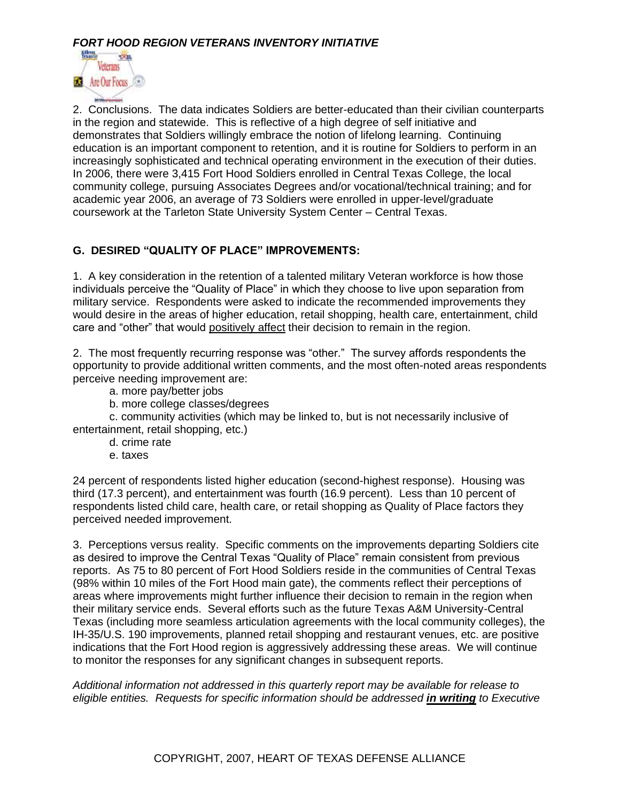

2. Conclusions. The data indicates Soldiers are better-educated than their civilian counterparts in the region and statewide. This is reflective of a high degree of self initiative and demonstrates that Soldiers willingly embrace the notion of lifelong learning. Continuing education is an important component to retention, and it is routine for Soldiers to perform in an increasingly sophisticated and technical operating environment in the execution of their duties. In 2006, there were 3,415 Fort Hood Soldiers enrolled in Central Texas College, the local community college, pursuing Associates Degrees and/or vocational/technical training; and for academic year 2006, an average of 73 Soldiers were enrolled in upper-level/graduate coursework at the Tarleton State University System Center – Central Texas.

#### **G. DESIRED "QUALITY OF PLACE" IMPROVEMENTS:**

1. A key consideration in the retention of a talented military Veteran workforce is how those individuals perceive the "Quality of Place" in which they choose to live upon separation from military service. Respondents were asked to indicate the recommended improvements they would desire in the areas of higher education, retail shopping, health care, entertainment, child care and "other" that would positively affect their decision to remain in the region.

2. The most frequently recurring response was "other." The survey affords respondents the opportunity to provide additional written comments, and the most often-noted areas respondents perceive needing improvement are:

- a. more pay/better jobs
- b. more college classes/degrees

c. community activities (which may be linked to, but is not necessarily inclusive of entertainment, retail shopping, etc.)

- d. crime rate
- e. taxes

24 percent of respondents listed higher education (second-highest response). Housing was third (17.3 percent), and entertainment was fourth (16.9 percent). Less than 10 percent of respondents listed child care, health care, or retail shopping as Quality of Place factors they perceived needed improvement.

3. Perceptions versus reality. Specific comments on the improvements departing Soldiers cite as desired to improve the Central Texas "Quality of Place" remain consistent from previous reports. As 75 to 80 percent of Fort Hood Soldiers reside in the communities of Central Texas (98% within 10 miles of the Fort Hood main gate), the comments reflect their perceptions of areas where improvements might further influence their decision to remain in the region when their military service ends. Several efforts such as the future Texas A&M University-Central Texas (including more seamless articulation agreements with the local community colleges), the IH-35/U.S. 190 improvements, planned retail shopping and restaurant venues, etc. are positive indications that the Fort Hood region is aggressively addressing these areas. We will continue to monitor the responses for any significant changes in subsequent reports.

*Additional information not addressed in this quarterly report may be available for release to eligible entities. Requests for specific information should be addressed in writing to Executive*